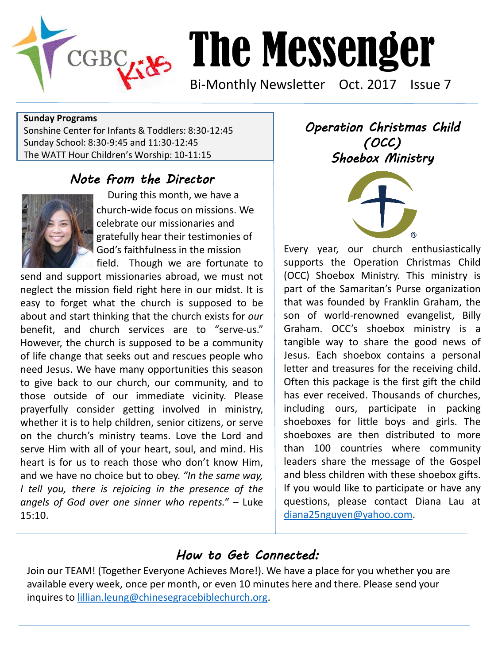

# The Messenger

Bi-Monthly Newsletter Oct. 2017 Issue 7

#### **Sunday Programs**

Sonshine Center for Infants & Toddlers: 8:30-12:45 Sunday School: 8:30-9:45 and 11:30-12:45 The WATT Hour Children's Worship: 10-11:15

#### *Note from the Director*



During this month, we have a church-wide focus on missions. We celebrate our missionaries and gratefully hear their testimonies of God's faithfulness in the mission

 field. Though we are fortunate to send and support missionaries abroad, we must not neglect the mission field right here in our midst. It is easy to forget what the church is supposed to be about and start thinking that the church exists for *our* benefit, and church services are to "serve-us." However, the church is supposed to be a community of life change that seeks out and rescues people who need Jesus. We have many opportunities this season to give back to our church, our community, and to those outside of our immediate vicinity. Please prayerfully consider getting involved in ministry, whether it is to help children, senior citizens, or serve on the church's ministry teams. Love the Lord and serve Him with all of your heart, soul, and mind. His heart is for us to reach those who don't know Him, and we have no choice but to obey. *"In the same way, I tell you, there is rejoicing in the presence of the angels of God over one sinner who repents."* – Luke 15:10. 

*Operation Christmas Child (OCC) Shoebox Ministry* 



Every year, our church enthusiastically supports the Operation Christmas Child (OCC) Shoebox Ministry. This ministry is part of the Samaritan's Purse organization that was founded by Franklin Graham, the son of world-renowned evangelist, Billy Graham. OCC's shoebox ministry is a tangible way to share the good news of Jesus. Each shoebox contains a personal letter and treasures for the receiving child. Often this package is the first gift the child has ever received. Thousands of churches, including ours, participate in packing shoeboxes for little boys and girls. The shoeboxes are then distributed to more than 100 countries where community leaders share the message of the Gospel and bless children with these shoebox gifts. If you would like to participate or have any questions, please contact Diana Lau at [diana25nguyen@yahoo.com](mailto:diana25nguyen@yahoo.com).

### *How to Get Connected:*

Join our TEAM! (Together Everyone Achieves More!). We have a place for you whether you are available every week, once per month, or even 10 minutes here and there. Please send your inquires to [lillian.leung@chinesegracebiblechurch.org](mailto:lillian.leung@chinesegracebiblechurch.org).